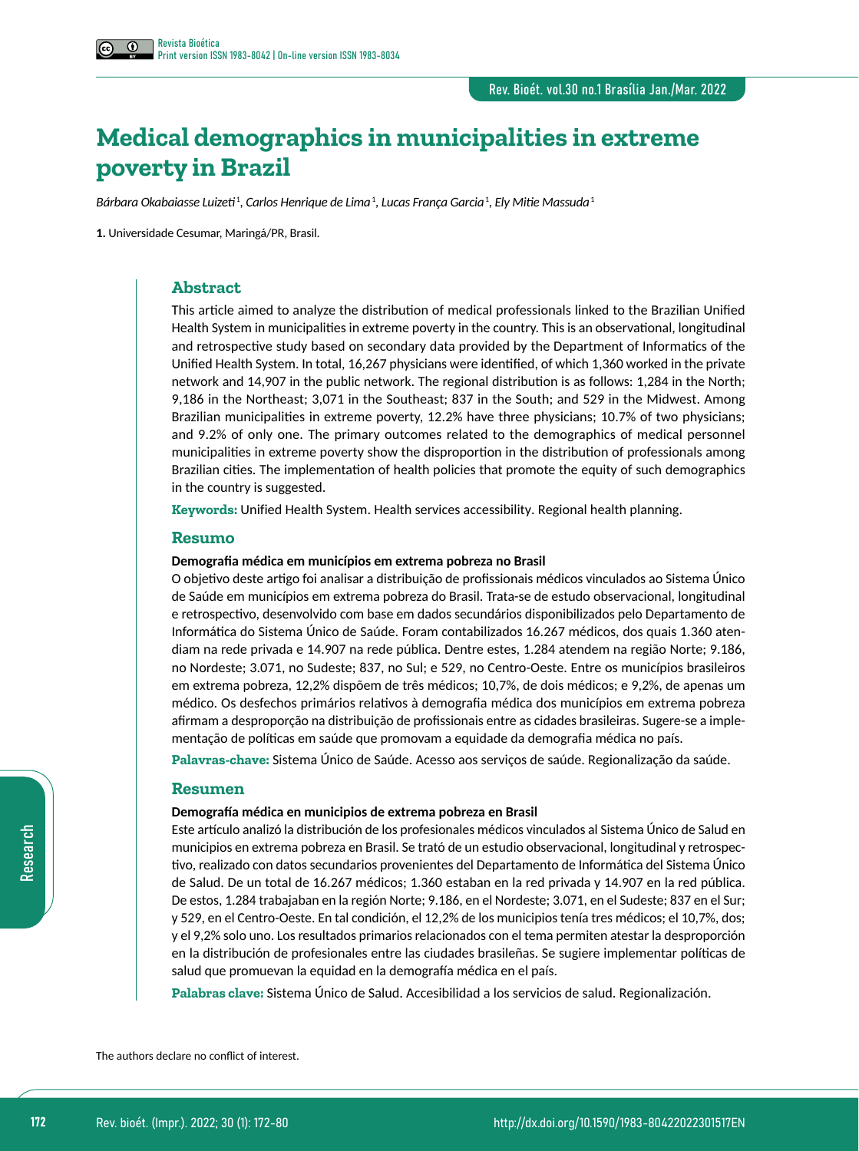# **Medical demographics in municipalities in extreme poverty in Brazil**

*Bárbara Okabaiasse Luizeti*<sup>1</sup> *, Carlos Henrique de Lima*<sup>1</sup> *, Lucas França Garcia*<sup>1</sup> *, Ely Mitie Massuda*<sup>1</sup>

**1.** Universidade Cesumar, Maringá/PR, Brasil.

### **Abstract**

This article aimed to analyze the distribution of medical professionals linked to the Brazilian Unified Health System in municipalities in extreme poverty in the country. This is an observational, longitudinal and retrospective study based on secondary data provided by the Department of Informatics of the Unified Health System. In total, 16,267 physicians were identified, of which 1,360 worked in the private network and 14,907 in the public network. The regional distribution is as follows: 1,284 in the North; 9,186 in the Northeast; 3,071 in the Southeast; 837 in the South; and 529 in the Midwest. Among Brazilian municipalities in extreme poverty, 12.2% have three physicians; 10.7% of two physicians; and 9.2% of only one. The primary outcomes related to the demographics of medical personnel municipalities in extreme poverty show the disproportion in the distribution of professionals among Brazilian cities. The implementation of health policies that promote the equity of such demographics in the country is suggested.

**Keywords:** Unified Health System. Health services accessibility. Regional health planning.

### **Resumo**

### **Demografia médica em municípios em extrema pobreza no Brasil**

O objetivo deste artigo foi analisar a distribuição de profissionais médicos vinculados ao Sistema Único de Saúde em municípios em extrema pobreza do Brasil. Trata-se de estudo observacional, longitudinal e retrospectivo, desenvolvido com base em dados secundários disponibilizados pelo Departamento de Informática do Sistema Único de Saúde. Foram contabilizados 16.267 médicos, dos quais 1.360 atendiam na rede privada e 14.907 na rede pública. Dentre estes, 1.284 atendem na região Norte; 9.186, no Nordeste; 3.071, no Sudeste; 837, no Sul; e 529, no Centro-Oeste. Entre os municípios brasileiros em extrema pobreza, 12,2% dispõem de três médicos; 10,7%, de dois médicos; e 9,2%, de apenas um médico. Os desfechos primários relativos à demografia médica dos municípios em extrema pobreza afirmam a desproporção na distribuição de profissionais entre as cidades brasileiras. Sugere-se a implementação de políticas em saúde que promovam a equidade da demografia médica no país.

**Palavras-chave:** Sistema Único de Saúde. Acesso aos serviços de saúde. Regionalização da saúde.

### **Resumen**

#### **Demografía médica en municipios de extrema pobreza en Brasil**

Este artículo analizó la distribución de los profesionales médicos vinculados al Sistema Único de Salud en municipios en extrema pobreza en Brasil. Se trató de un estudio observacional, longitudinal y retrospectivo, realizado con datos secundarios provenientes del Departamento de Informática del Sistema Único de Salud. De un total de 16.267 médicos; 1.360 estaban en la red privada y 14.907 en la red pública. De estos, 1.284 trabajaban en la región Norte; 9.186, en el Nordeste; 3.071, en el Sudeste; 837 en el Sur; y 529, en el Centro-Oeste. En tal condición, el 12,2% de los municipios tenía tres médicos; el 10,7%, dos; y el 9,2% solo uno. Los resultados primarios relacionados con el tema permiten atestar la desproporción en la distribución de profesionales entre las ciudades brasileñas. Se sugiere implementar políticas de salud que promuevan la equidad en la demografía médica en el país.

**Palabras clave:** Sistema Único de Salud. Accesibilidad a los servicios de salud. Regionalización.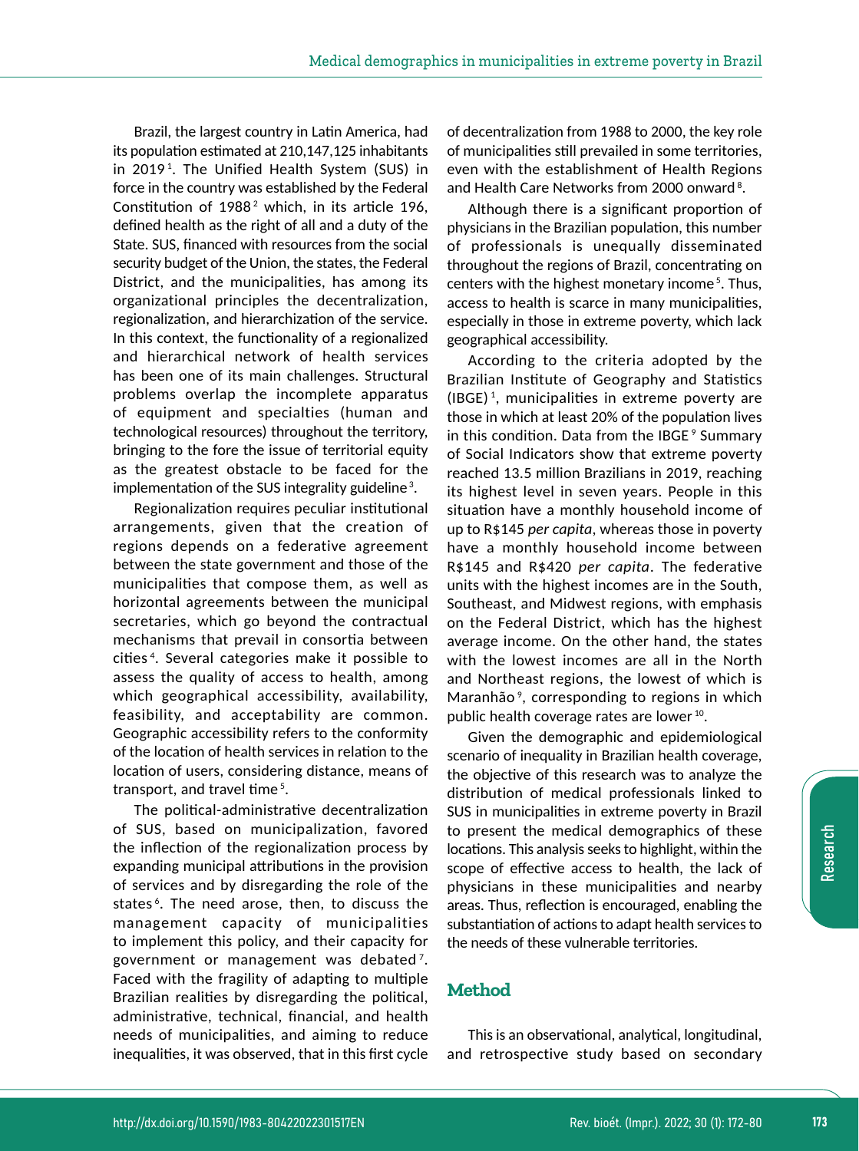Brazil, the largest country in Latin America, had its population estimated at 210,147,125 inhabitants in 2019<sup>1</sup>. The Unified Health System (SUS) in force in the country was established by the Federal Constitution of  $1988<sup>2</sup>$  which, in its article 196, defined health as the right of all and a duty of the State. SUS, financed with resources from the social security budget of the Union, the states, the Federal District, and the municipalities, has among its organizational principles the decentralization, regionalization, and hierarchization of the service. In this context, the functionality of a regionalized and hierarchical network of health services has been one of its main challenges. Structural problems overlap the incomplete apparatus of equipment and specialties (human and technological resources) throughout the territory, bringing to the fore the issue of territorial equity as the greatest obstacle to be faced for the implementation of the SUS integrality guideline<sup>3</sup>.

Regionalization requires peculiar institutional arrangements, given that the creation of regions depends on a federative agreement between the state government and those of the municipalities that compose them, as well as horizontal agreements between the municipal secretaries, which go beyond the contractual mechanisms that prevail in consortia between cities 4 . Several categories make it possible to assess the quality of access to health, among which geographical accessibility, availability, feasibility, and acceptability are common. Geographic accessibility refers to the conformity of the location of health services in relation to the location of users, considering distance, means of transport, and travel time<sup>5</sup>.

The political-administrative decentralization of SUS, based on municipalization, favored the inflection of the regionalization process by expanding municipal attributions in the provision of services and by disregarding the role of the states<sup>6</sup>. The need arose, then, to discuss the management capacity of municipalities to implement this policy, and their capacity for government or management was debated<sup>7</sup>. Faced with the fragility of adapting to multiple Brazilian realities by disregarding the political, administrative, technical, financial, and health needs of municipalities, and aiming to reduce inequalities, it was observed, that in this first cycle

of decentralization from 1988 to 2000, the key role of municipalities still prevailed in some territories, even with the establishment of Health Regions and Health Care Networks from 2000 onward<sup>8</sup>.

Although there is a significant proportion of physicians in the Brazilian population, this number of professionals is unequally disseminated throughout the regions of Brazil, concentrating on centers with the highest monetary income<sup>5</sup>. Thus, access to health is scarce in many municipalities, especially in those in extreme poverty, which lack geographical accessibility.

According to the criteria adopted by the Brazilian Institute of Geography and Statistics (IBGE) <sup>1</sup> , municipalities in extreme poverty are those in which at least 20% of the population lives in this condition. Data from the IBGE<sup>9</sup> Summary of Social Indicators show that extreme poverty reached 13.5 million Brazilians in 2019, reaching its highest level in seven years. People in this situation have a monthly household income of up to R\$145 *per capita*, whereas those in poverty have a monthly household income between R\$145 and R\$420 *per capita*. The federative units with the highest incomes are in the South, Southeast, and Midwest regions, with emphasis on the Federal District, which has the highest average income. On the other hand, the states with the lowest incomes are all in the North and Northeast regions, the lowest of which is Maranhão<sup>9</sup>, corresponding to regions in which public health coverage rates are lower 10.

Given the demographic and epidemiological scenario of inequality in Brazilian health coverage, the objective of this research was to analyze the distribution of medical professionals linked to SUS in municipalities in extreme poverty in Brazil to present the medical demographics of these locations. This analysis seeks to highlight, within the scope of effective access to health, the lack of physicians in these municipalities and nearby areas. Thus, reflection is encouraged, enabling the substantiation of actions to adapt health services to the needs of these vulnerable territories.

# **Method**

This is an observational, analytical, longitudinal, and retrospective study based on secondary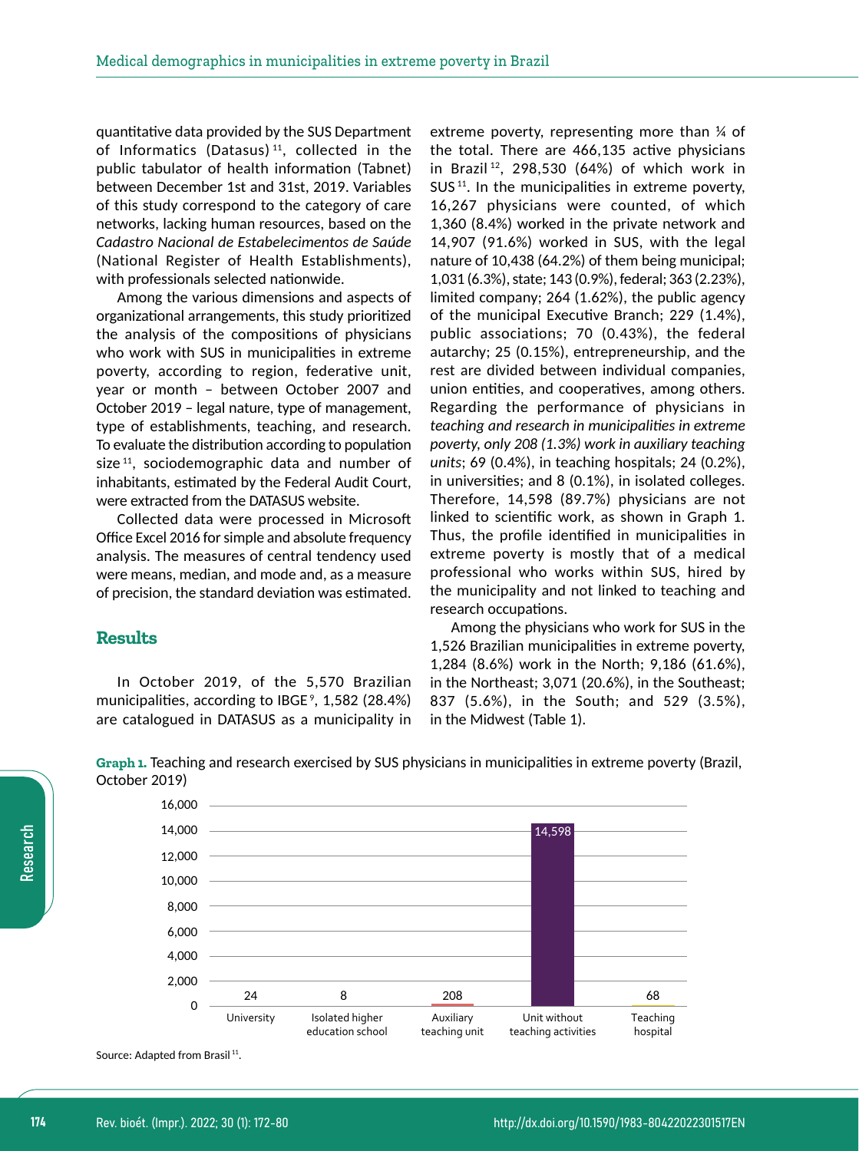quantitative data provided by the SUS Department of Informatics (Datasus) 11, collected in the public tabulator of health information (Tabnet) between December 1st and 31st, 2019. Variables of this study correspond to the category of care networks, lacking human resources, based on the *Cadastro Nacional de Estabelecimentos de Saúde* (National Register of Health Establishments), with professionals selected nationwide.

Among the various dimensions and aspects of organizational arrangements, this study prioritized the analysis of the compositions of physicians who work with SUS in municipalities in extreme poverty, according to region, federative unit, year or month – between October 2007 and October 2019 – legal nature, type of management, type of establishments, teaching, and research. To evaluate the distribution according to population size<sup>11</sup>, sociodemographic data and number of inhabitants, estimated by the Federal Audit Court, were extracted from the DATASUS website.

Collected data were processed in Microsoft Office Excel 2016 for simple and absolute frequency analysis. The measures of central tendency used were means, median, and mode and, as a measure of precision, the standard deviation was estimated.

## **Results**

In October 2019, of the 5,570 Brazilian municipalities, according to IBGE 9 , 1,582 (28.4%) are catalogued in DATASUS as a municipality in extreme poverty, representing more than ¼ of the total. There are 466,135 active physicians in Brazil<sup>12</sup>, 298,530 (64%) of which work in  $SUS<sup>11</sup>$ . In the municipalities in extreme poverty, 16,267 physicians were counted, of which 1,360 (8.4%) worked in the private network and 14,907 (91.6%) worked in SUS, with the legal nature of 10,438 (64.2%) of them being municipal; 1,031 (6.3%), state; 143 (0.9%), federal; 363 (2.23%), limited company; 264 (1.62%), the public agency of the municipal Executive Branch; 229 (1.4%), public associations; 70 (0.43%), the federal autarchy; 25 (0.15%), entrepreneurship, and the rest are divided between individual companies, union entities, and cooperatives, among others. Regarding the performance of physicians in *teaching and research in municipalities in extreme poverty, only 208 (1.3%) work in auxiliary teaching units*; 69 (0.4%), in teaching hospitals; 24 (0.2%), in universities; and 8 (0.1%), in isolated colleges. Therefore, 14,598 (89.7%) physicians are not linked to scientific work, as shown in Graph 1. Thus, the profile identified in municipalities in extreme poverty is mostly that of a medical professional who works within SUS, hired by the municipality and not linked to teaching and research occupations.

Among the physicians who work for SUS in the 1,526 Brazilian municipalities in extreme poverty, 1,284 (8.6%) work in the North; 9,186 (61.6%), in the Northeast; 3,071 (20.6%), in the Southeast; 837 (5.6%), in the South; and 529 (3.5%), in the Midwest (Table 1).



**Graph 1.** Teaching and research exercised by SUS physicians in municipalities in extreme poverty (Brazil, October 2019)

Source: Adapted from Brasil<sup>11</sup>.

Research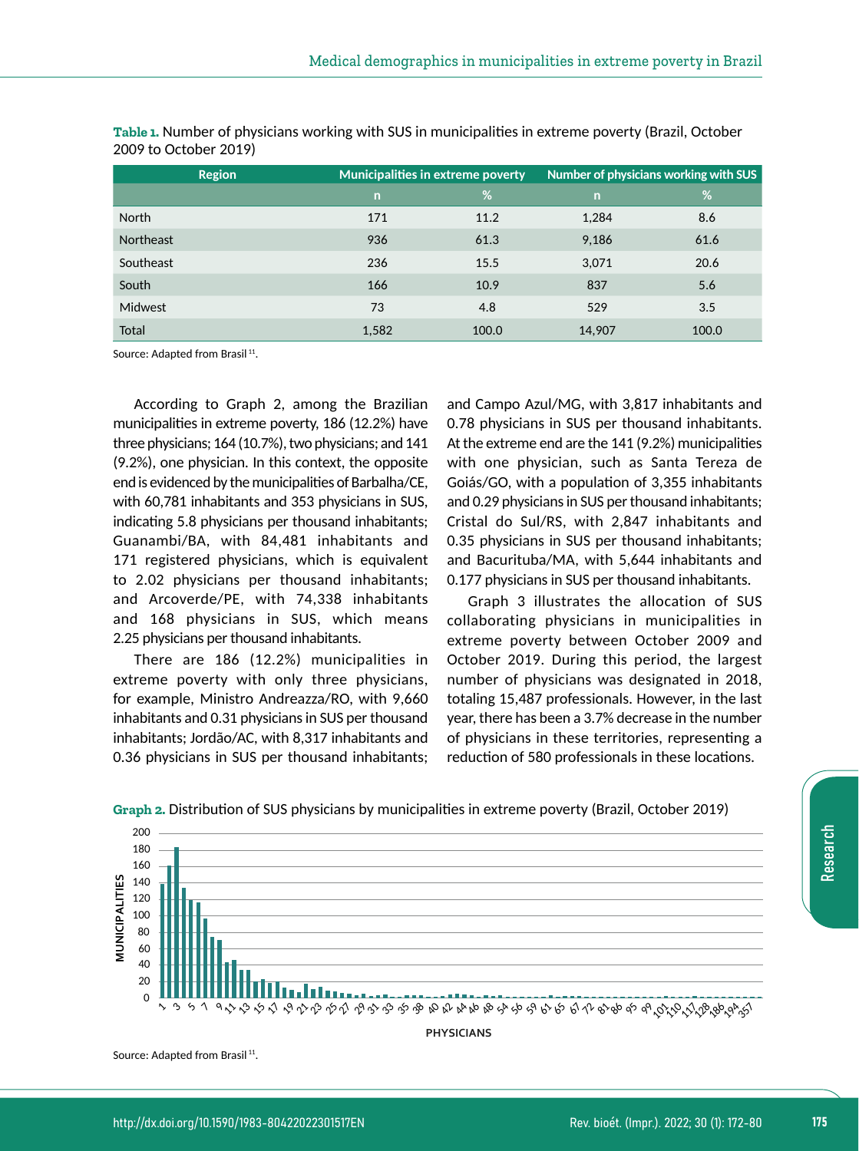| <b>Region</b>    | <b>Municipalities in extreme poverty</b> |       | Number of physicians working with SUS |       |
|------------------|------------------------------------------|-------|---------------------------------------|-------|
|                  | $\overline{n}$                           | %     | $\mathsf{n}$                          | %     |
| <b>North</b>     | 171                                      | 11.2  | 1,284                                 | 8.6   |
| <b>Northeast</b> | 936                                      | 61.3  | 9,186                                 | 61.6  |
| Southeast        | 236                                      | 15.5  | 3,071                                 | 20.6  |
| South            | 166                                      | 10.9  | 837                                   | 5.6   |
| <b>Midwest</b>   | 73                                       | 4.8   | 529                                   | 3.5   |
| Total            | 1,582                                    | 100.0 | 14,907                                | 100.0 |

**Table 1.** Number of physicians working with SUS in municipalities in extreme poverty (Brazil, October 2009 to October 2019)

Source: Adapted from Brasil<sup>11</sup>.

According to Graph 2, among the Brazilian municipalities in extreme poverty, 186 (12.2%) have three physicians; 164 (10.7%), two physicians; and 141 (9.2%), one physician. In this context, the opposite end is evidenced by the municipalities of Barbalha/CE, with 60,781 inhabitants and 353 physicians in SUS, indicating 5.8 physicians per thousand inhabitants; Guanambi/BA, with 84,481 inhabitants and 171 registered physicians, which is equivalent to 2.02 physicians per thousand inhabitants; and Arcoverde/PE, with 74,338 inhabitants and 168 physicians in SUS, which means 2.25 physicians per thousand inhabitants.

There are 186 (12.2%) municipalities in extreme poverty with only three physicians, for example, Ministro Andreazza/RO, with 9,660 inhabitants and 0.31 physicians in SUS per thousand inhabitants; Jordão/AC, with 8,317 inhabitants and 0.36 physicians in SUS per thousand inhabitants; and Campo Azul/MG, with 3,817 inhabitants and 0.78 physicians in SUS per thousand inhabitants. At the extreme end are the 141 (9.2%) municipalities with one physician, such as Santa Tereza de Goiás/GO, with a population of 3,355 inhabitants and 0.29 physicians in SUS per thousand inhabitants; Cristal do Sul/RS, with 2,847 inhabitants and 0.35 physicians in SUS per thousand inhabitants; and Bacurituba/MA, with 5,644 inhabitants and 0.177 physicians in SUS per thousand inhabitants.

Graph 3 illustrates the allocation of SUS collaborating physicians in municipalities in extreme poverty between October 2009 and October 2019. During this period, the largest number of physicians was designated in 2018, totaling 15,487 professionals. However, in the last year, there has been a 3.7% decrease in the number of physicians in these territories, representing a reduction of 580 professionals in these locations.



**Graph 2.** Distribution of SUS physicians by municipalities in extreme poverty (Brazil, October 2019)

**PHYSICIANS**

Source: Adapted from Brasil<sup>11</sup>.

Research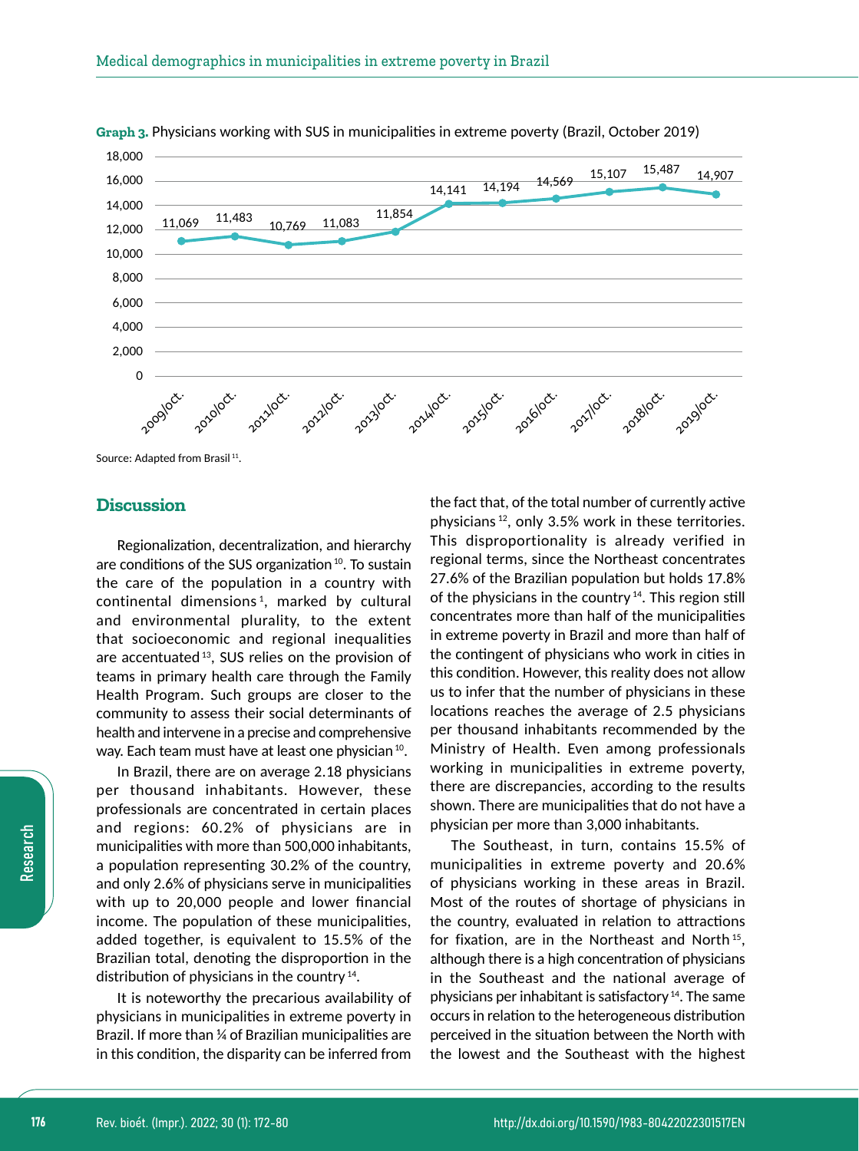



Source: Adapted from Brasil<sup>11</sup>.

## **Discussion**

Regionalization, decentralization, and hierarchy are conditions of the SUS organization 10. To sustain the care of the population in a country with continental dimensions <sup>1</sup> , marked by cultural and environmental plurality, to the extent that socioeconomic and regional inequalities are accentuated 13, SUS relies on the provision of teams in primary health care through the Family Health Program. Such groups are closer to the community to assess their social determinants of health and intervene in a precise and comprehensive way. Each team must have at least one physician <sup>10</sup>.

In Brazil, there are on average 2.18 physicians per thousand inhabitants. However, these professionals are concentrated in certain places and regions: 60.2% of physicians are in municipalities with more than 500,000 inhabitants, a population representing 30.2% of the country, and only 2.6% of physicians serve in municipalities with up to 20,000 people and lower financial income. The population of these municipalities, added together, is equivalent to 15.5% of the Brazilian total, denoting the disproportion in the distribution of physicians in the country 14.

It is noteworthy the precarious availability of physicians in municipalities in extreme poverty in Brazil. If more than ¼ of Brazilian municipalities are in this condition, the disparity can be inferred from the fact that, of the total number of currently active physicians 12, only 3.5% work in these territories. This disproportionality is already verified in regional terms, since the Northeast concentrates 27.6% of the Brazilian population but holds 17.8% of the physicians in the country<sup>14</sup>. This region still concentrates more than half of the municipalities in extreme poverty in Brazil and more than half of the contingent of physicians who work in cities in this condition. However, this reality does not allow us to infer that the number of physicians in these locations reaches the average of 2.5 physicians per thousand inhabitants recommended by the Ministry of Health. Even among professionals working in municipalities in extreme poverty, there are discrepancies, according to the results shown. There are municipalities that do not have a physician per more than 3,000 inhabitants.

The Southeast, in turn, contains 15.5% of municipalities in extreme poverty and 20.6% of physicians working in these areas in Brazil. Most of the routes of shortage of physicians in the country, evaluated in relation to attractions for fixation, are in the Northeast and North 15, although there is a high concentration of physicians in the Southeast and the national average of physicians per inhabitant is satisfactory 14. The same occurs in relation to the heterogeneous distribution perceived in the situation between the North with the lowest and the Southeast with the highest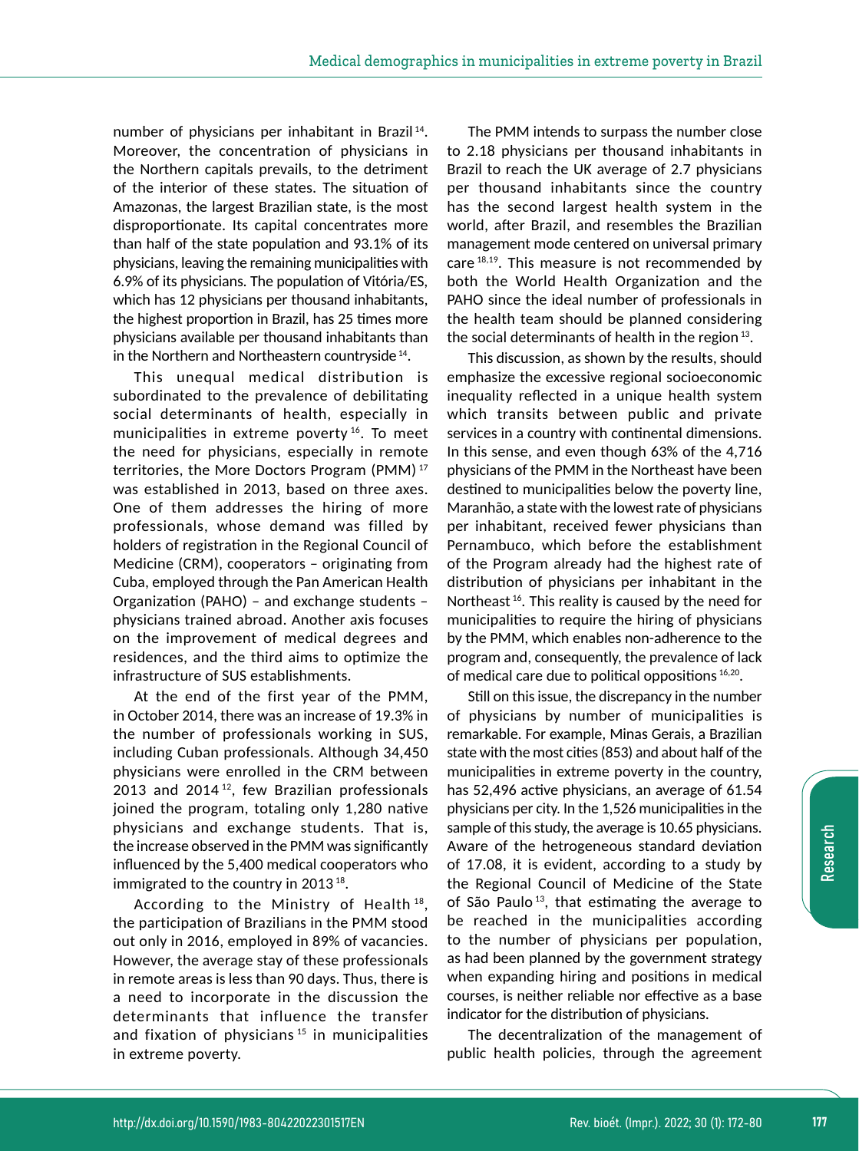number of physicians per inhabitant in Brazil<sup>14</sup>. Moreover, the concentration of physicians in the Northern capitals prevails, to the detriment of the interior of these states. The situation of Amazonas, the largest Brazilian state, is the most disproportionate. Its capital concentrates more than half of the state population and 93.1% of its physicians, leaving the remaining municipalities with 6.9% of its physicians. The population of Vitória/ES, which has 12 physicians per thousand inhabitants, the highest proportion in Brazil, has 25 times more physicians available per thousand inhabitants than in the Northern and Northeastern countryside 14.

This unequal medical distribution is subordinated to the prevalence of debilitating social determinants of health, especially in municipalities in extreme poverty<sup>16</sup>. To meet the need for physicians, especially in remote territories, the More Doctors Program (PMM) <sup>17</sup> was established in 2013, based on three axes. One of them addresses the hiring of more professionals, whose demand was filled by holders of registration in the Regional Council of Medicine (CRM), cooperators – originating from Cuba, employed through the Pan American Health Organization (PAHO) – and exchange students – physicians trained abroad. Another axis focuses on the improvement of medical degrees and residences, and the third aims to optimize the infrastructure of SUS establishments.

At the end of the first year of the PMM, in October 2014, there was an increase of 19.3% in the number of professionals working in SUS, including Cuban professionals. Although 34,450 physicians were enrolled in the CRM between 2013 and 2014 $12$ , few Brazilian professionals joined the program, totaling only 1,280 native physicians and exchange students. That is, the increase observed in the PMM was significantly influenced by the 5,400 medical cooperators who immigrated to the country in 2013<sup>18</sup>.

According to the Ministry of Health<sup>18</sup>, the participation of Brazilians in the PMM stood out only in 2016, employed in 89% of vacancies. However, the average stay of these professionals in remote areas is less than 90 days. Thus, there is a need to incorporate in the discussion the determinants that influence the transfer and fixation of physicians<sup>15</sup> in municipalities in extreme poverty.

The PMM intends to surpass the number close to 2.18 physicians per thousand inhabitants in Brazil to reach the UK average of 2.7 physicians per thousand inhabitants since the country has the second largest health system in the world, after Brazil, and resembles the Brazilian management mode centered on universal primary care 18,19. This measure is not recommended by both the World Health Organization and the PAHO since the ideal number of professionals in the health team should be planned considering the social determinants of health in the region<sup>13</sup>.

This discussion, as shown by the results, should emphasize the excessive regional socioeconomic inequality reflected in a unique health system which transits between public and private services in a country with continental dimensions. In this sense, and even though 63% of the 4,716 physicians of the PMM in the Northeast have been destined to municipalities below the poverty line, Maranhão, a state with the lowest rate of physicians per inhabitant, received fewer physicians than Pernambuco, which before the establishment of the Program already had the highest rate of distribution of physicians per inhabitant in the Northeast<sup>16</sup>. This reality is caused by the need for municipalities to require the hiring of physicians by the PMM, which enables non-adherence to the program and, consequently, the prevalence of lack of medical care due to political oppositions 16,20.

Still on this issue, the discrepancy in the number of physicians by number of municipalities is remarkable. For example, Minas Gerais, a Brazilian state with the most cities (853) and about half of the municipalities in extreme poverty in the country, has 52,496 active physicians, an average of 61.54 physicians per city. In the 1,526 municipalities in the sample of this study, the average is 10.65 physicians. Aware of the hetrogeneous standard deviation of 17.08, it is evident, according to a study by the Regional Council of Medicine of the State of São Paulo 13, that estimating the average to be reached in the municipalities according to the number of physicians per population, as had been planned by the government strategy when expanding hiring and positions in medical courses, is neither reliable nor effective as a base indicator for the distribution of physicians.

The decentralization of the management of public health policies, through the agreement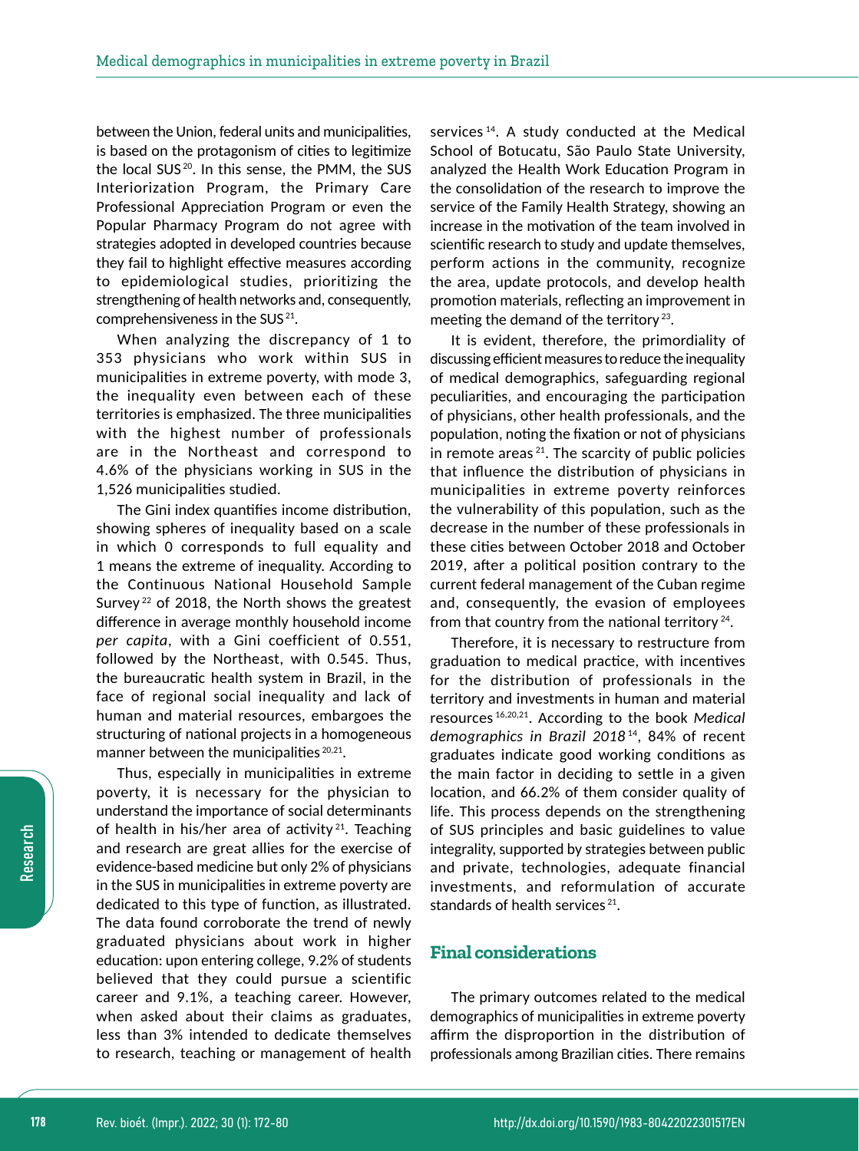between the Union, federal units and municipalities, is based on the protagonism of cities to legitimize the local SUS<sup>20</sup>. In this sense, the PMM, the SUS Interiorization Program, the Primary Care Professional Appreciation Program or even the Popular Pharmacy Program do not agree with strategies adopted in developed countries because they fail to highlight effective measures according to epidemiological studies, prioritizing the strengthening of health networks and, consequently, comprehensiveness in the SUS 21.

When analyzing the discrepancy of 1 to 353 physicians who work within SUS in municipalities in extreme poverty, with mode 3, the inequality even between each of these territories is emphasized. The three municipalities with the highest number of professionals are in the Northeast and correspond to 4.6% of the physicians working in SUS in the 1,526 municipalities studied.

The Gini index quantifies income distribution, showing spheres of inequality based on a scale in which 0 corresponds to full equality and 1 means the extreme of inequality. According to the Continuous National Household Sample Survey<sup>22</sup> of 2018, the North shows the greatest difference in average monthly household income *per capita*, with a Gini coefficient of 0.551, followed by the Northeast, with 0.545. Thus, the bureaucratic health system in Brazil, in the face of regional social inequality and lack of human and material resources, embargoes the structuring of national projects in a homogeneous manner between the municipalities<sup>20,21</sup>.

Thus, especially in municipalities in extreme poverty, it is necessary for the physician to understand the importance of social determinants of health in his/her area of activity<sup>21</sup>. Teaching and research are great allies for the exercise of evidence-based medicine but only 2% of physicians in the SUS in municipalities in extreme poverty are dedicated to this type of function, as illustrated. The data found corroborate the trend of newly graduated physicians about work in higher education: upon entering college, 9.2% of students believed that they could pursue a scientific career and 9.1%, a teaching career. However, when asked about their claims as graduates, less than 3% intended to dedicate themselves to research, teaching or management of health services<sup>14</sup>. A study conducted at the Medical School of Botucatu, São Paulo State University, analyzed the Health Work Education Program in the consolidation of the research to improve the service of the Family Health Strategy, showing an increase in the motivation of the team involved in scientific research to study and update themselves, perform actions in the community, recognize the area, update protocols, and develop health promotion materials, reflecting an improvement in meeting the demand of the territory<sup>23</sup>.

It is evident, therefore, the primordiality of discussing efficient measures to reduce the inequality of medical demographics, safeguarding regional peculiarities, and encouraging the participation of physicians, other health professionals, and the population, noting the fixation or not of physicians in remote areas<sup> $21$ </sup>. The scarcity of public policies that influence the distribution of physicians in municipalities in extreme poverty reinforces the vulnerability of this population, such as the decrease in the number of these professionals in these cities between October 2018 and October 2019, after a political position contrary to the current federal management of the Cuban regime and, consequently, the evasion of employees from that country from the national territory  $24$ .

Therefore, it is necessary to restructure from graduation to medical practice, with incentives for the distribution of professionals in the territory and investments in human and material resources 16,20,21. According to the book *Medical*  demographics in Brazil 2018<sup>14</sup>, 84% of recent graduates indicate good working conditions as the main factor in deciding to settle in a given location, and 66.2% of them consider quality of life. This process depends on the strengthening of SUS principles and basic guidelines to value integrality, supported by strategies between public and private, technologies, adequate financial investments, and reformulation of accurate standards of health services $21$ .

# **Final considerations**

The primary outcomes related to the medical demographics of municipalities in extreme poverty affirm the disproportion in the distribution of professionals among Brazilian cities. There remains

Research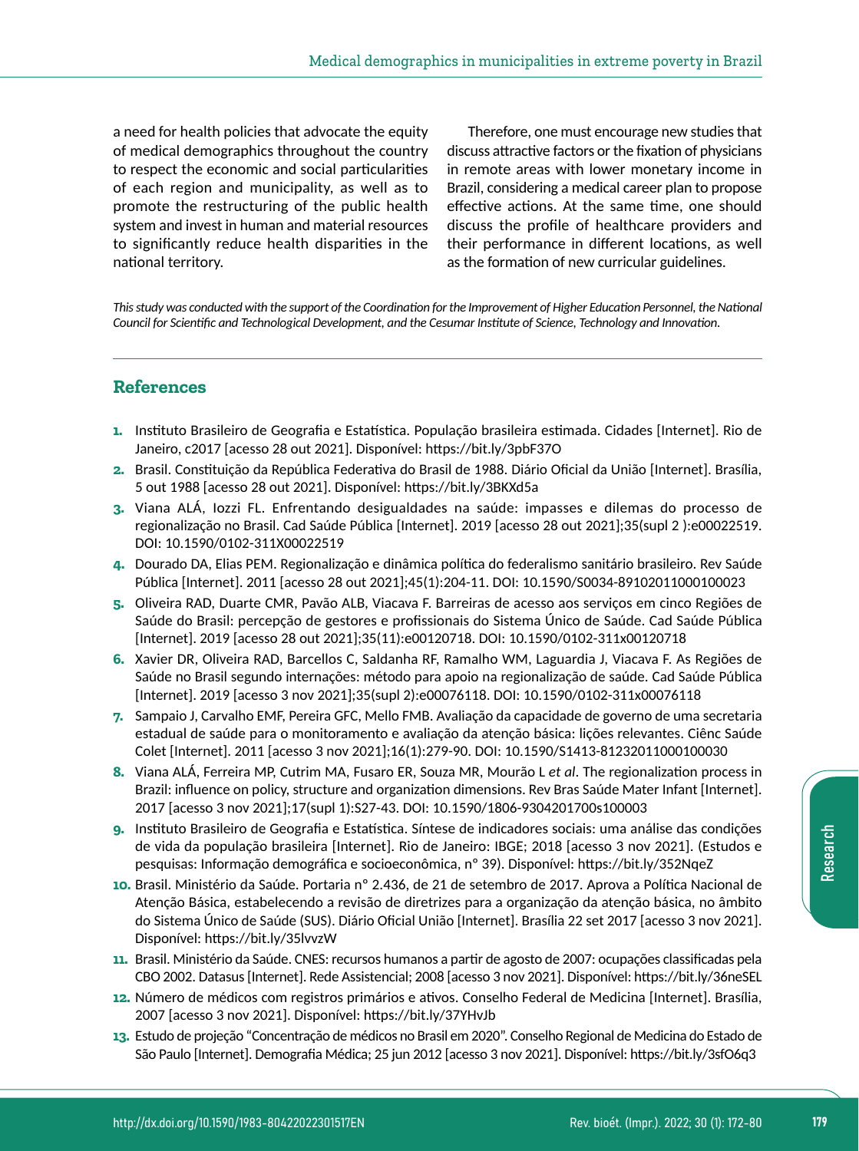a need for health policies that advocate the equity of medical demographics throughout the country to respect the economic and social particularities of each region and municipality, as well as to promote the restructuring of the public health system and invest in human and material resources to significantly reduce health disparities in the national territory.

Therefore, one must encourage new studies that discuss attractive factors or the fixation of physicians in remote areas with lower monetary income in Brazil, considering a medical career plan to propose effective actions. At the same time, one should discuss the profile of healthcare providers and their performance in different locations, as well as the formation of new curricular guidelines.

*This study was conducted with the support of the Coordination for the Improvement of Higher Education Personnel, the National Council for Scientific and Technological Development, and the Cesumar Institute of Science, Technology and Innovation.*

# **References**

- **1.** Instituto Brasileiro de Geografia e Estatística. População brasileira estimada. Cidades [Internet]. Rio de Janeiro, c2017 [acesso 28 out 2021]. Disponível:<https://bit.ly/3pbF37O>
- **2.** Brasil. Constituição da República Federativa do Brasil de 1988. Diário Oficial da União [Internet]. Brasília, 5 out 1988 [acesso 28 out 2021]. Disponível: <https://bit.ly/3BKXd5a>
- **3.** Viana ALÁ, Iozzi FL. Enfrentando desigualdades na saúde: impasses e dilemas do processo de regionalização no Brasil. Cad Saúde Pública [Internet]. 2019 [acesso 28 out 2021];35(supl 2 ):e00022519. DOI: 10.1590/0102-311X00022519
- **4.** Dourado DA, Elias PEM. Regionalização e dinâmica política do federalismo sanitário brasileiro. Rev Saúde Pública [Internet]. 2011 [acesso 28 out 2021];45(1):204-11. DOI: 10.1590/S0034-89102011000100023
- **5.** Oliveira RAD, Duarte CMR, Pavão ALB, Viacava F. Barreiras de acesso aos serviços em cinco Regiões de Saúde do Brasil: percepção de gestores e profissionais do Sistema Único de Saúde. Cad Saúde Pública [Internet]. 2019 [acesso 28 out 2021];35(11):e00120718. DOI: 10.1590/0102-311x00120718
- **6.** Xavier DR, Oliveira RAD, Barcellos C, Saldanha RF, Ramalho WM, Laguardia J, Viacava F. As Regiões de Saúde no Brasil segundo internações: método para apoio na regionalização de saúde. Cad Saúde Pública [Internet]. 2019 [acesso 3 nov 2021];35(supl 2):e00076118. DOI: 10.1590/0102-311x00076118
- **7.** Sampaio J, Carvalho EMF, Pereira GFC, Mello FMB. Avaliação da capacidade de governo de uma secretaria estadual de saúde para o monitoramento e avaliação da atenção básica: lições relevantes. Ciênc Saúde Colet [Internet]. 2011 [acesso 3 nov 2021];16(1):279-90. DOI: 10.1590/S1413-81232011000100030
- **8.** Viana ALÁ, Ferreira MP, Cutrim MA, Fusaro ER, Souza MR, Mourão L *et al*. The regionalization process in Brazil: influence on policy, structure and organization dimensions. Rev Bras Saúde Mater Infant [Internet]. 2017 [acesso 3 nov 2021];17(supl 1):S27-43. DOI: 10.1590/1806-9304201700s100003
- **9.** Instituto Brasileiro de Geografia e Estatística. Síntese de indicadores sociais: uma análise das condições de vida da população brasileira [Internet]. Rio de Janeiro: IBGE; 2018 [acesso 3 nov 2021]. (Estudos e pesquisas: Informação demográfica e socioeconômica, nº 39). Disponível:<https://bit.ly/352NqeZ>
- **10.** Brasil. Ministério da Saúde. Portaria nº 2.436, de 21 de setembro de 2017. Aprova a Política Nacional de Atenção Básica, estabelecendo a revisão de diretrizes para a organização da atenção básica, no âmbito do Sistema Único de Saúde (SUS). Diário Oficial União [Internet]. Brasília 22 set 2017 [acesso 3 nov 2021]. Disponível: <https://bit.ly/35lvvzW>
- **11.** Brasil. Ministério da Saúde. CNES: recursos humanos a partir de agosto de 2007: ocupações classificadas pela CBO 2002. Datasus [Internet]. Rede Assistencial; 2008 [acesso 3 nov 2021]. Disponível:<https://bit.ly/36neSEL>
- **12.** Número de médicos com registros primários e ativos. Conselho Federal de Medicina [Internet]. Brasília, 2007 [acesso 3 nov 2021]. Disponível:<https://bit.ly/37YHvJb>
- **13.** Estudo de projeção "Concentração de médicos no Brasil em 2020". Conselho Regional de Medicina do Estado de São Paulo [Internet]. Demografia Médica; 25 jun 2012 [acesso 3 nov 2021]. Disponível: <https://bit.ly/3sfO6q3>